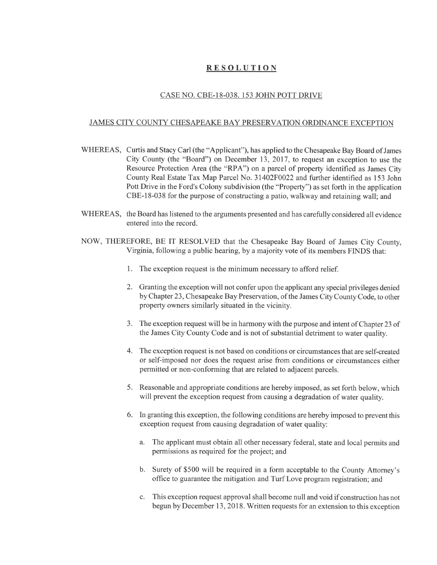## RESOLUTION

## CASE NO. CBE-18-038. 153 JOHN POTT DRIVE

## JAMES CITY COUNTY CHESAPEAKE BAY PRESERVATION ORDINANCE EXCEPTION

- WHEREAS, Curtis and Stacy Carl (the "Applicant"), has applied to the Chesapeake Bay Board of James City County (the "Board") on December 13, 2017, to request an exception to use the Resource Protection Area (the "RPA") on a parcel of property identified as James City County Real Estate Tax Map Parcel No. 31402F0022 and further identified as 153 John Pott Drive in the Ford's Colony subdivision (the "Property") as set forth in the application CBE-18-038 for the purpose of constructing a patio, walkway and retaining wall; and
- WHEREAS, the Board has listened to the arguments presented and has carefully considered all evidence entered into the record.
- NOW, THEREFORE, BE IT RESOLVED that the Chesapeake Bay Board of James City County, Virginia, following a public hearing, by a majority vote of its members FINDS that:
	- 1. The exception request is the minimum necessary to afford relief.
	- 2. Granting the exception will not confer upon the applicant any special privileges denied by Chapter 23, Chesapeake Bay Preservation, of the James City County Code, to other property owners similarly situated in the vicinity.
	- 3. The exception request will be in harmony with the purpose and intent of Chapter 23 of the James City County Code and is not of substantial detriment to water quality.
	- 4. The exception request is not based on conditions or circumstances that are self-created or self-imposed nor does the request arise from conditions or circumstances either permitted or non-conforming that are related to adjacent parcels.
	- 5. Reasonable and appropriate conditions are hereby imposed, as set forth below, which will prevent the exception request from causing a degradation of water quality.
	- 6. In granting this exception, the following conditions are hereby imposed to prevent this exception request from causing degradation of water quality:
		- a. The applicant must obtain all other necessary federal, state and local permits and permissions as required for the project; and
		- b. Surety of \$500 will be required in a form acceptable to the County Attorney's office to guarantee the mitigation and Turf Love program registration; and
		- c. This exception request approval shall become null and void if construction has not begun by December 13, 2018. Written requests for an extension to this exception